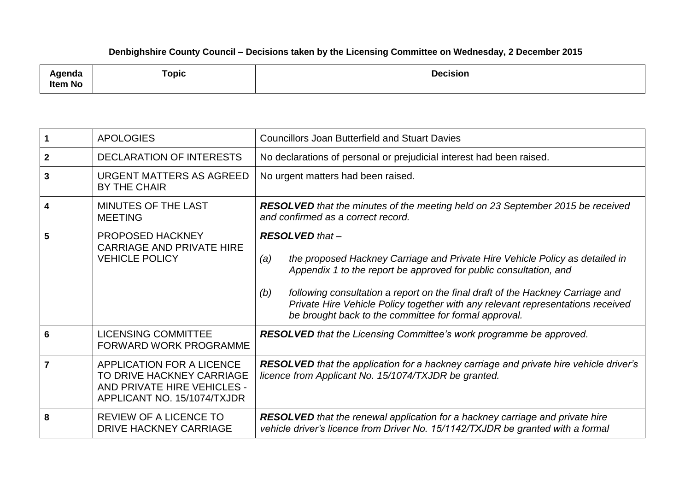## **Denbighshire County Council – Decisions taken by the Licensing Committee on Wednesday, 2 December 2015**

| ∖genda<br>Item No | Topic | <b>Decision</b><br>. |
|-------------------|-------|----------------------|
|-------------------|-------|----------------------|

|              | <b>APOLOGIES</b>                                                                                                     | <b>Councillors Joan Butterfield and Stuart Davies</b>                                                                                                                                                                                                                                                                                                                                                                   |
|--------------|----------------------------------------------------------------------------------------------------------------------|-------------------------------------------------------------------------------------------------------------------------------------------------------------------------------------------------------------------------------------------------------------------------------------------------------------------------------------------------------------------------------------------------------------------------|
| $\mathbf{2}$ | <b>DECLARATION OF INTERESTS</b>                                                                                      | No declarations of personal or prejudicial interest had been raised.                                                                                                                                                                                                                                                                                                                                                    |
| 3            | <b>URGENT MATTERS AS AGREED</b><br>BY THE CHAIR                                                                      | No urgent matters had been raised.                                                                                                                                                                                                                                                                                                                                                                                      |
| 4            | MINUTES OF THE LAST<br><b>MEETING</b>                                                                                | <b>RESOLVED</b> that the minutes of the meeting held on 23 September 2015 be received<br>and confirmed as a correct record.                                                                                                                                                                                                                                                                                             |
| 5            | <b>PROPOSED HACKNEY</b><br><b>CARRIAGE AND PRIVATE HIRE</b><br><b>VEHICLE POLICY</b>                                 | <b>RESOLVED</b> that -<br>the proposed Hackney Carriage and Private Hire Vehicle Policy as detailed in<br>(a)<br>Appendix 1 to the report be approved for public consultation, and<br>following consultation a report on the final draft of the Hackney Carriage and<br>(b)<br>Private Hire Vehicle Policy together with any relevant representations received<br>be brought back to the committee for formal approval. |
| 6            | <b>LICENSING COMMITTEE</b><br><b>FORWARD WORK PROGRAMME</b>                                                          | RESOLVED that the Licensing Committee's work programme be approved.                                                                                                                                                                                                                                                                                                                                                     |
|              | APPLICATION FOR A LICENCE<br>TO DRIVE HACKNEY CARRIAGE<br>AND PRIVATE HIRE VEHICLES -<br>APPLICANT NO. 15/1074/TXJDR | RESOLVED that the application for a hackney carriage and private hire vehicle driver's<br>licence from Applicant No. 15/1074/TXJDR be granted.                                                                                                                                                                                                                                                                          |
| 8            | <b>REVIEW OF A LICENCE TO</b><br><b>DRIVE HACKNEY CARRIAGE</b>                                                       | <b>RESOLVED</b> that the renewal application for a hackney carriage and private hire<br>vehicle driver's licence from Driver No. 15/1142/TXJDR be granted with a formal                                                                                                                                                                                                                                                 |